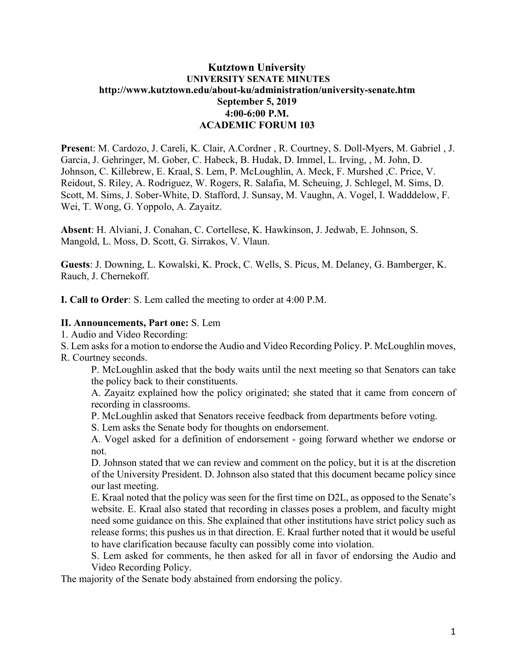## **Kutztown University UNIVERSITY SENATE MINUTES http://www.kutztown.edu/about-ku/administration/university-senate.htm September 5, 2019 4:00-6:00 P.M. ACADEMIC FORUM 103**

**Presen**t: M. Cardozo, J. Careli, K. Clair, A.Cordner , R. Courtney, S. Doll-Myers, M. Gabriel , J. Garcia, J. Gehringer, M. Gober, C. Habeck, B. Hudak, D. Immel, L. Irving, , M. John, D. Johnson, C. Killebrew, E. Kraal, S. Lem, P. McLoughlin, A. Meck, F. Murshed ,C. Price, V. Reidout, S. Riley, A. Rodriguez, W. Rogers, R. Salafia, M. Scheuing, J. Schlegel, M. Sims, D. Scott, M. Sims, J. Sober-White, D. Stafford, J. Sunsay, M. Vaughn, A. Vogel, I. Wadddelow, F. Wei, T. Wong, G. Yoppolo, A. Zayaitz.

**Absent**: H. Alviani, J. Conahan, C. Cortellese, K. Hawkinson, J. Jedwab, E. Johnson, S. Mangold, L. Moss, D. Scott, G. Sirrakos, V. Vlaun.

**Guests**: J. Downing, L. Kowalski, K. Prock, C. Wells, S. Picus, M. Delaney, G. Bamberger, K. Rauch, J. Chernekoff.

**I. Call to Order**: S. Lem called the meeting to order at 4:00 P.M.

#### **II. Announcements, Part one:** S. Lem

1. Audio and Video Recording:

S. Lem asks for a motion to endorse the Audio and Video Recording Policy. P. McLoughlin moves,

R. Courtney seconds.

P. McLoughlin asked that the body waits until the next meeting so that Senators can take the policy back to their constituents.

A. Zayaitz explained how the policy originated; she stated that it came from concern of recording in classrooms.

P. McLoughlin asked that Senators receive feedback from departments before voting.

S. Lem asks the Senate body for thoughts on endorsement.

A. Vogel asked for a definition of endorsement - going forward whether we endorse or not.

D. Johnson stated that we can review and comment on the policy, but it is at the discretion of the University President. D. Johnson also stated that this document became policy since our last meeting.

E. Kraal noted that the policy was seen for the first time on D2L, as opposed to the Senate's website. E. Kraal also stated that recording in classes poses a problem, and faculty might need some guidance on this. She explained that other institutions have strict policy such as release forms; this pushes us in that direction. E. Kraal further noted that it would be useful to have clarification because faculty can possibly come into violation.

S. Lem asked for comments, he then asked for all in favor of endorsing the Audio and Video Recording Policy.

The majority of the Senate body abstained from endorsing the policy.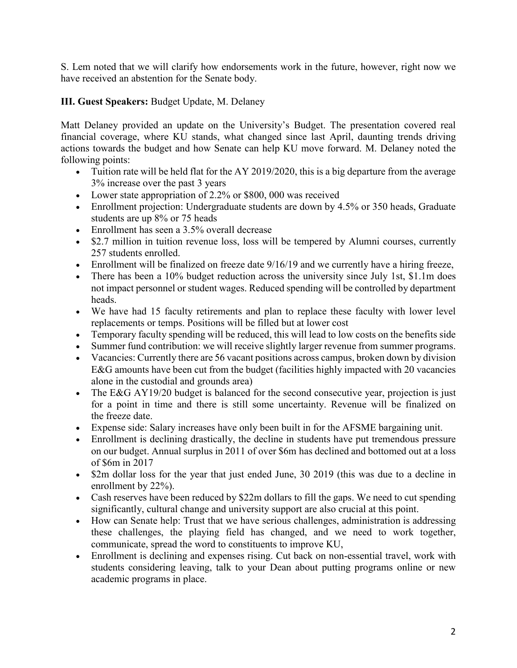S. Lem noted that we will clarify how endorsements work in the future, however, right now we have received an abstention for the Senate body.

## **III. Guest Speakers:** Budget Update, M. Delaney

Matt Delaney provided an update on the University's Budget. The presentation covered real financial coverage, where KU stands, what changed since last April, daunting trends driving actions towards the budget and how Senate can help KU move forward. M. Delaney noted the following points:

- Tuition rate will be held flat for the AY 2019/2020, this is a big departure from the average 3% increase over the past 3 years
- Lower state appropriation of 2.2% or \$800, 000 was received
- Enrollment projection: Undergraduate students are down by 4.5% or 350 heads, Graduate students are up 8% or 75 heads
- Enrollment has seen a 3.5% overall decrease
- \$2.7 million in tuition revenue loss, loss will be tempered by Alumni courses, currently 257 students enrolled.
- Enrollment will be finalized on freeze date  $9/16/19$  and we currently have a hiring freeze,
- There has been a 10% budget reduction across the university since July 1st, \$1.1m does not impact personnel or student wages. Reduced spending will be controlled by department heads.
- We have had 15 faculty retirements and plan to replace these faculty with lower level replacements or temps. Positions will be filled but at lower cost
- Temporary faculty spending will be reduced, this will lead to low costs on the benefits side
- Summer fund contribution: we will receive slightly larger revenue from summer programs.
- Vacancies: Currently there are 56 vacant positions across campus, broken down by division E&G amounts have been cut from the budget (facilities highly impacted with 20 vacancies alone in the custodial and grounds area)
- The E&G AY19/20 budget is balanced for the second consecutive year, projection is just for a point in time and there is still some uncertainty. Revenue will be finalized on the freeze date.
- Expense side: Salary increases have only been built in for the AFSME bargaining unit.
- Enrollment is declining drastically, the decline in students have put tremendous pressure on our budget. Annual surplus in 2011 of over \$6m has declined and bottomed out at a loss of \$6m in 2017
- \$2m dollar loss for the year that just ended June, 30 2019 (this was due to a decline in enrollment by 22%).
- Cash reserves have been reduced by \$22m dollars to fill the gaps. We need to cut spending significantly, cultural change and university support are also crucial at this point.
- How can Senate help: Trust that we have serious challenges, administration is addressing these challenges, the playing field has changed, and we need to work together, communicate, spread the word to constituents to improve KU,
- Enrollment is declining and expenses rising. Cut back on non-essential travel, work with students considering leaving, talk to your Dean about putting programs online or new academic programs in place.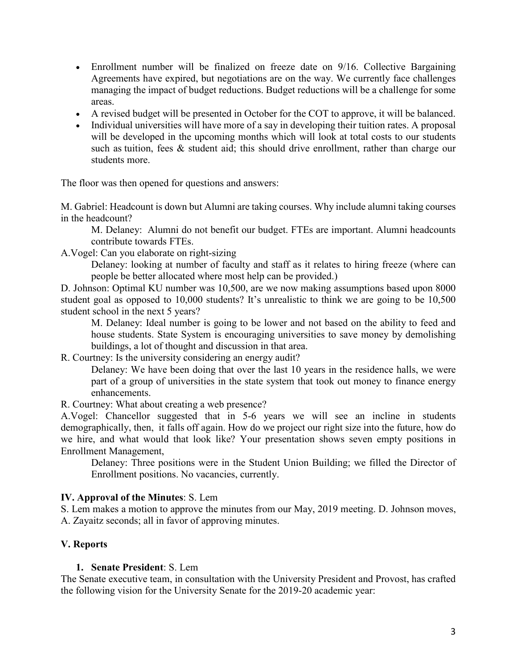- Enrollment number will be finalized on freeze date on  $9/16$ . Collective Bargaining Agreements have expired, but negotiations are on the way. We currently face challenges managing the impact of budget reductions. Budget reductions will be a challenge for some areas.
- A revised budget will be presented in October for the COT to approve, it will be balanced.
- Individual universities will have more of a say in developing their tuition rates. A proposal will be developed in the upcoming months which will look at total costs to our students such as tuition, fees & student aid; this should drive enrollment, rather than charge our students more.

The floor was then opened for questions and answers:

M. Gabriel: Headcount is down but Alumni are taking courses. Why include alumni taking courses in the headcount?

M. Delaney: Alumni do not benefit our budget. FTEs are important. Alumni headcounts contribute towards FTEs.

A.Vogel: Can you elaborate on right-sizing

Delaney: looking at number of faculty and staff as it relates to hiring freeze (where can people be better allocated where most help can be provided.)

D. Johnson: Optimal KU number was 10,500, are we now making assumptions based upon 8000 student goal as opposed to 10,000 students? It's unrealistic to think we are going to be 10,500 student school in the next 5 years?

M. Delaney: Ideal number is going to be lower and not based on the ability to feed and house students. State System is encouraging universities to save money by demolishing buildings, a lot of thought and discussion in that area.

R. Courtney: Is the university considering an energy audit?

Delaney: We have been doing that over the last 10 years in the residence halls, we were part of a group of universities in the state system that took out money to finance energy enhancements.

R. Courtney: What about creating a web presence?

A.Vogel: Chancellor suggested that in 5-6 years we will see an incline in students demographically, then, it falls off again. How do we project our right size into the future, how do we hire, and what would that look like? Your presentation shows seven empty positions in Enrollment Management,

Delaney: Three positions were in the Student Union Building; we filled the Director of Enrollment positions. No vacancies, currently.

### **IV. Approval of the Minutes**: S. Lem

S. Lem makes a motion to approve the minutes from our May, 2019 meeting. D. Johnson moves, A. Zayaitz seconds; all in favor of approving minutes.

### **V. Reports**

#### **1. Senate President**: S. Lem

The Senate executive team, in consultation with the University President and Provost, has crafted the following vision for the University Senate for the 2019-20 academic year: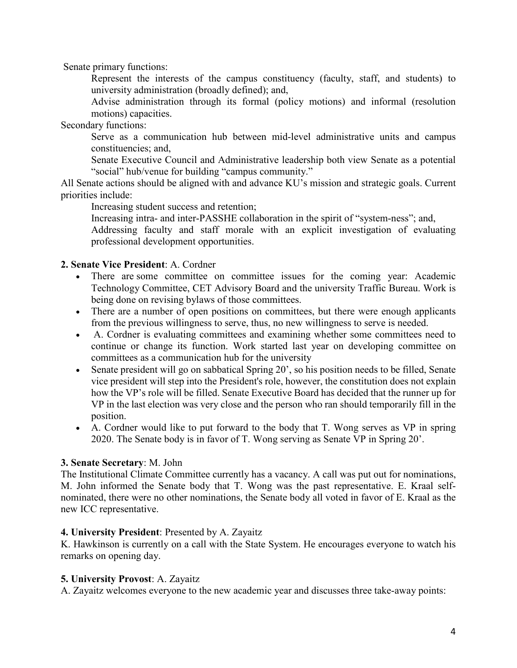Senate primary functions:

Represent the interests of the campus constituency (faculty, staff, and students) to university administration (broadly defined); and,

Advise administration through its formal (policy motions) and informal (resolution motions) capacities.

Secondary functions:

Serve as a communication hub between mid-level administrative units and campus constituencies; and,

Senate Executive Council and Administrative leadership both view Senate as a potential "social" hub/venue for building "campus community."

All Senate actions should be aligned with and advance KU's mission and strategic goals. Current priorities include:

Increasing student success and retention;

Increasing intra- and inter-PASSHE collaboration in the spirit of "system-ness"; and,

Addressing faculty and staff morale with an explicit investigation of evaluating professional development opportunities.

### **2. Senate Vice President**: A. Cordner

- There are some committee on committee issues for the coming year: Academic Technology Committee, CET Advisory Board and the university Traffic Bureau. Work is being done on revising bylaws of those committees.
- There are a number of open positions on committees, but there were enough applicants from the previous willingness to serve, thus, no new willingness to serve is needed.
- A. Cordner is evaluating committees and examining whether some committees need to continue or change its function. Work started last year on developing committee on committees as a communication hub for the university
- Senate president will go on sabbatical Spring 20', so his position needs to be filled, Senate vice president will step into the President's role, however, the constitution does not explain how the VP's role will be filled. Senate Executive Board has decided that the runner up for VP in the last election was very close and the person who ran should temporarily fill in the position.
- A. Cordner would like to put forward to the body that T. Wong serves as VP in spring 2020. The Senate body is in favor of T. Wong serving as Senate VP in Spring 20'.

### **3. Senate Secretary**: M. John

The Institutional Climate Committee currently has a vacancy. A call was put out for nominations, M. John informed the Senate body that T. Wong was the past representative. E. Kraal selfnominated, there were no other nominations, the Senate body all voted in favor of E. Kraal as the new ICC representative.

#### **4. University President**: Presented by A. Zayaitz

K. Hawkinson is currently on a call with the State System. He encourages everyone to watch his remarks on opening day.

### **5. University Provost**: A. Zayaitz

A. Zayaitz welcomes everyone to the new academic year and discusses three take-away points: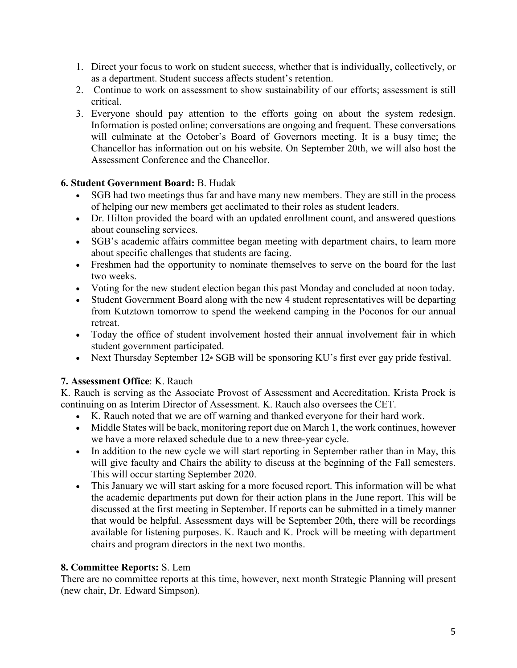- 1. Direct your focus to work on student success, whether that is individually, collectively, or as a department. Student success affects student's retention.
- 2. Continue to work on assessment to show sustainability of our efforts; assessment is still critical.
- 3. Everyone should pay attention to the efforts going on about the system redesign. Information is posted online; conversations are ongoing and frequent. These conversations will culminate at the October's Board of Governors meeting. It is a busy time; the Chancellor has information out on his website. On September 20th, we will also host the Assessment Conference and the Chancellor.

# **6. Student Government Board:** B. Hudak

- SGB had two meetings thus far and have many new members. They are still in the process of helping our new members get acclimated to their roles as student leaders.
- Dr. Hilton provided the board with an updated enrollment count, and answered questions about counseling services.
- SGB's academic affairs committee began meeting with department chairs, to learn more about specific challenges that students are facing.
- Freshmen had the opportunity to nominate themselves to serve on the board for the last two weeks.
- Voting for the new student election began this past Monday and concluded at noon today.
- Student Government Board along with the new 4 student representatives will be departing from Kutztown tomorrow to spend the weekend camping in the Poconos for our annual retreat.
- Today the office of student involvement hosted their annual involvement fair in which student government participated.
- Next Thursday September  $12^{\omega}$  SGB will be sponsoring KU's first ever gay pride festival.

# **7. Assessment Office**: K. Rauch

K. Rauch is serving as the Associate Provost of Assessment and Accreditation. Krista Prock is continuing on as Interim Director of Assessment. K. Rauch also oversees the CET.

- K. Rauch noted that we are off warning and thanked everyone for their hard work.
- Middle States will be back, monitoring report due on March 1, the work continues, however we have a more relaxed schedule due to a new three-year cycle.
- In addition to the new cycle we will start reporting in September rather than in May, this will give faculty and Chairs the ability to discuss at the beginning of the Fall semesters. This will occur starting September 2020.
- This January we will start asking for a more focused report. This information will be what the academic departments put down for their action plans in the June report. This will be discussed at the first meeting in September. If reports can be submitted in a timely manner that would be helpful. Assessment days will be September 20th, there will be recordings available for listening purposes. K. Rauch and K. Prock will be meeting with department chairs and program directors in the next two months.

## **8. Committee Reports:** S. Lem

There are no committee reports at this time, however, next month Strategic Planning will present (new chair, Dr. Edward Simpson).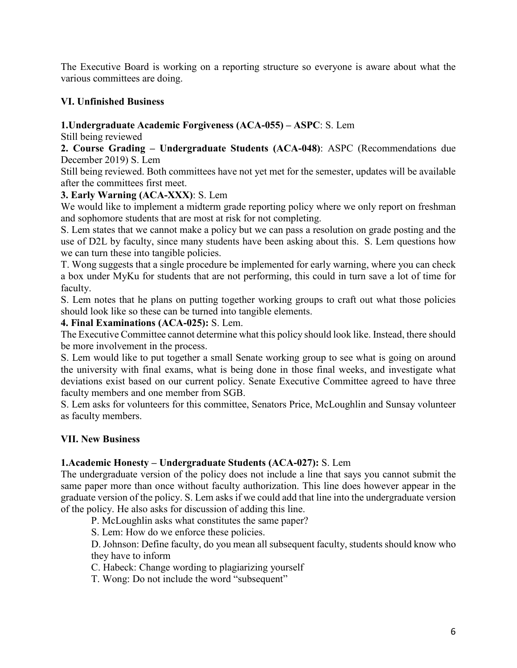The Executive Board is working on a reporting structure so everyone is aware about what the various committees are doing.

## **VI. Unfinished Business**

## **1.Undergraduate Academic Forgiveness (ACA-055) – ASPC**: S. Lem

Still being reviewed

**2. Course Grading – Undergraduate Students (ACA-048)**: ASPC (Recommendations due December 2019) S. Lem

Still being reviewed. Both committees have not yet met for the semester, updates will be available after the committees first meet.

# **3. Early Warning (ACA-XXX)**: S. Lem

We would like to implement a midterm grade reporting policy where we only report on freshman and sophomore students that are most at risk for not completing.

S. Lem states that we cannot make a policy but we can pass a resolution on grade posting and the use of D2L by faculty, since many students have been asking about this. S. Lem questions how we can turn these into tangible policies.

T. Wong suggests that a single procedure be implemented for early warning, where you can check a box under MyKu for students that are not performing, this could in turn save a lot of time for faculty.

S. Lem notes that he plans on putting together working groups to craft out what those policies should look like so these can be turned into tangible elements.

### **4. Final Examinations (ACA-025):** S. Lem.

The Executive Committee cannot determine what this policy should look like. Instead, there should be more involvement in the process.

S. Lem would like to put together a small Senate working group to see what is going on around the university with final exams, what is being done in those final weeks, and investigate what deviations exist based on our current policy. Senate Executive Committee agreed to have three faculty members and one member from SGB.

S. Lem asks for volunteers for this committee, Senators Price, McLoughlin and Sunsay volunteer as faculty members.

## **VII. New Business**

## **1.Academic Honesty – Undergraduate Students (ACA-027):** S. Lem

The undergraduate version of the policy does not include a line that says you cannot submit the same paper more than once without faculty authorization. This line does however appear in the graduate version of the policy. S. Lem asks if we could add that line into the undergraduate version of the policy. He also asks for discussion of adding this line.

P. McLoughlin asks what constitutes the same paper?

S. Lem: How do we enforce these policies.

D. Johnson: Define faculty, do you mean all subsequent faculty, students should know who they have to inform

C. Habeck: Change wording to plagiarizing yourself

T. Wong: Do not include the word "subsequent"